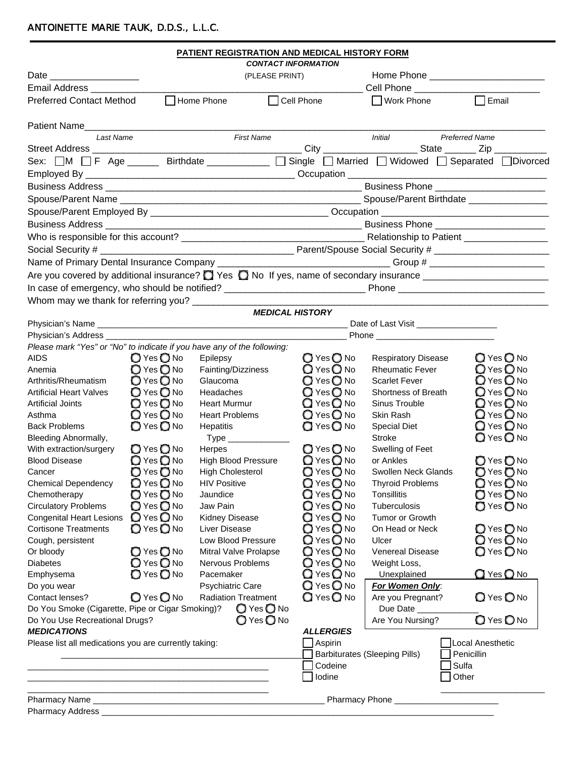## ANTOINETTE MARIE TAUK, D.D.S., L.L.C.

|                                                                         |                              | <b>PATIENT REGISTRATION AND MEDICAL HISTORY FORM</b> |                              |                                                                                                                    |                                                                                          |  |  |
|-------------------------------------------------------------------------|------------------------------|------------------------------------------------------|------------------------------|--------------------------------------------------------------------------------------------------------------------|------------------------------------------------------------------------------------------|--|--|
|                                                                         |                              |                                                      | <b>CONTACT INFORMATION</b>   |                                                                                                                    |                                                                                          |  |  |
|                                                                         |                              | (PLEASE PRINT)                                       |                              |                                                                                                                    |                                                                                          |  |  |
| Email Address ________                                                  |                              |                                                      |                              | Cell Phone ___________                                                                                             |                                                                                          |  |  |
| <b>Preferred Contact Method</b>                                         |                              | Home Phone                                           | □ Cell Phone                 | ■ Work Phone                                                                                                       | $\Box$ Email                                                                             |  |  |
| Patient Name                                                            |                              |                                                      |                              |                                                                                                                    |                                                                                          |  |  |
| Last Name                                                               |                              | <b>First Name</b>                                    |                              | Initial                                                                                                            | <b>Preferred Name</b>                                                                    |  |  |
|                                                                         |                              |                                                      |                              |                                                                                                                    |                                                                                          |  |  |
|                                                                         |                              |                                                      |                              |                                                                                                                    | Sex: OM OF Age _____ Birthdate __________ OSingle OMarried OWidowed OSeparated ODivorced |  |  |
|                                                                         |                              |                                                      |                              |                                                                                                                    |                                                                                          |  |  |
|                                                                         |                              |                                                      |                              |                                                                                                                    |                                                                                          |  |  |
|                                                                         |                              |                                                      |                              |                                                                                                                    |                                                                                          |  |  |
|                                                                         |                              |                                                      |                              |                                                                                                                    |                                                                                          |  |  |
|                                                                         |                              |                                                      |                              |                                                                                                                    |                                                                                          |  |  |
|                                                                         |                              |                                                      |                              |                                                                                                                    |                                                                                          |  |  |
|                                                                         |                              |                                                      |                              |                                                                                                                    |                                                                                          |  |  |
|                                                                         |                              |                                                      |                              |                                                                                                                    |                                                                                          |  |  |
|                                                                         |                              |                                                      |                              |                                                                                                                    |                                                                                          |  |  |
|                                                                         |                              |                                                      |                              |                                                                                                                    |                                                                                          |  |  |
| Whom may we thank for referring you? _____________________              |                              |                                                      |                              | <u> 1980 - Jan Barnett, fransk kongresu og den forske forskellige og det forskellige og det forskellige og det</u> |                                                                                          |  |  |
|                                                                         |                              |                                                      | <b>MEDICAL HISTORY</b>       |                                                                                                                    |                                                                                          |  |  |
|                                                                         |                              |                                                      |                              |                                                                                                                    |                                                                                          |  |  |
| Physician's Address ____________                                        |                              |                                                      |                              |                                                                                                                    |                                                                                          |  |  |
| Please mark "Yes" or "No" to indicate if you have any of the following: |                              |                                                      |                              |                                                                                                                    |                                                                                          |  |  |
| <b>AIDS</b>                                                             | $O$ Yes $O$ No               | Epilepsy                                             | O Yes O No                   | <b>Respiratory Disease</b>                                                                                         | ◯ Yes ◯ No                                                                               |  |  |
| Anemia                                                                  | ◯ Yes ◯ No                   | Fainting/Dizziness                                   | $Q$ Yes $Q$ No               | <b>Rheumatic Fever</b>                                                                                             | <b>○</b> Yes ○No                                                                         |  |  |
| Arthritis/Rheumatism                                                    | $O$ Yes $O$ No               | Glaucoma                                             | $Q$ Yes $Q$ No               | <b>Scarlet Fever</b>                                                                                               | O Yes O No                                                                               |  |  |
| <b>Artificial Heart Valves</b>                                          | ◯ Yes ◯ No                   | Headaches                                            | $Q$ Yes $Q$ No               | Shortness of Breath                                                                                                | Q Yes Q No                                                                               |  |  |
| <b>Artificial Joints</b>                                                | $O$ Yes $O$ No               | <b>Heart Murmur</b>                                  | $Q$ Yes $Q$ No               | Sinus Trouble                                                                                                      | Q Yes Q No                                                                               |  |  |
| Asthma                                                                  | $Q$ Yes $Q$ No               | <b>Heart Problems</b>                                | Q Yes Q No                   | Skin Rash                                                                                                          | $\mathbb{Q}$ Yes $\mathbb{Q}$ No                                                         |  |  |
| <b>Back Problems</b>                                                    | O Yes O No                   | Hepatitis                                            | ◯ Yes ◯ No                   | <b>Special Diet</b>                                                                                                | $\bigcirc$ Yes $\bigcirc$ No                                                             |  |  |
| <b>Bleeding Abnormally,</b>                                             |                              |                                                      |                              | Stroke                                                                                                             | ◯ Yes ◯ No                                                                               |  |  |
| With extraction/surgery                                                 | O Yes O No                   | Herpes                                               | ◯ Yes ◯ No                   | Swelling of Feet                                                                                                   |                                                                                          |  |  |
| <b>Blood Disease</b>                                                    | O Yes O No                   | <b>High Blood Pressure</b>                           | $Q$ Yes $Q$ No               | or Ankles                                                                                                          | O Yes O No                                                                               |  |  |
| Cancer                                                                  | ◯ Yes ◯ No                   | <b>High Cholesterol</b>                              | ◯ Yes ◯ No                   | Swollen Neck Glands                                                                                                | O Yes O No                                                                               |  |  |
| <b>Chemical Dependency</b>                                              | ◯ Yes ◯ No                   | <b>HIV Positive</b>                                  | ◯ Yes ◯ No                   | <b>Thyroid Problems</b>                                                                                            | O Yes O No                                                                               |  |  |
| Chemotherapy                                                            | ◯ Yes ◯ No                   | Jaundice                                             | $\bigcirc$ Yes $\bigcirc$ No | <b>Tonsillitis</b>                                                                                                 | O Yes O No                                                                               |  |  |
| <b>Circulatory Problems</b>                                             | ◯ Yes ◯ No                   | Jaw Pain                                             | ● Yes ● No                   | Tuberculosis                                                                                                       | ◯ Yes ◯ No                                                                               |  |  |
| <b>Congenital Heart Lesions</b>                                         | $Q$ Yes $Q$ No<br>◯ Yes ◯ No | Kidney Disease                                       | $Q$ Yes $Q$ No<br>◯ Yes ◯ No | Tumor or Growth                                                                                                    |                                                                                          |  |  |
| <b>Cortisone Treatments</b><br>Cough, persistent                        |                              | Liver Disease<br>Low Blood Pressure                  | <b>○</b> Yes <b>○</b> No     | On Head or Neck<br>Ulcer                                                                                           | O Yes O No<br>Q Yes Q No                                                                 |  |  |
| Or bloody                                                               | ◯ Yes ◯ No                   | Mitral Valve Prolapse                                | $\bigcirc$ Yes $\bigcirc$ No | <b>Venereal Disease</b>                                                                                            | O Yes O No                                                                               |  |  |
| <b>Diabetes</b>                                                         | ○ Yes ○ No                   | Nervous Problems                                     | <b>○</b> Yes ● No            | Weight Loss,                                                                                                       |                                                                                          |  |  |
| Emphysema                                                               | ◯ Yes ◯ No                   | Pacemaker                                            | $\bigcirc$ Yes $\bigcirc$ No | Unexplained                                                                                                        | <b>Q</b> Yes <b>Q</b> No                                                                 |  |  |
| Do you wear                                                             |                              | <b>Psychiatric Care</b>                              | <b>Q</b> Yes <b>Q</b> No     | For Women Only:                                                                                                    |                                                                                          |  |  |
| Contact lenses?                                                         | ◯ Yes ◯ No                   | <b>Radiation Treatment</b>                           | <b>Q</b> Yes <b>Q</b> No     | Are you Pregnant?                                                                                                  | O Yes O No                                                                               |  |  |
| Do You Smoke (Cigarette, Pipe or Cigar Smoking)?                        |                              | ◯ Yes ◯ No                                           |                              | Due Date                                                                                                           |                                                                                          |  |  |
| Do You Use Recreational Drugs?                                          |                              | ◯ Yes ◯ No                                           |                              | Are You Nursing?                                                                                                   | O Yes O No                                                                               |  |  |
| <b>MEDICATIONS</b>                                                      |                              |                                                      | <b>ALLERGIES</b>             |                                                                                                                    |                                                                                          |  |  |
| Please list all medications you are currently taking:                   |                              |                                                      | $\Box$ Aspirin               |                                                                                                                    | Local Anesthetic                                                                         |  |  |
|                                                                         |                              |                                                      |                              | <b>Barbiturates (Sleeping Pills)</b>                                                                               | Penicillin                                                                               |  |  |
|                                                                         |                              |                                                      | Codeine                      |                                                                                                                    | Sulfa                                                                                    |  |  |
|                                                                         |                              |                                                      | Iodine                       |                                                                                                                    | Other                                                                                    |  |  |
|                                                                         |                              |                                                      |                              |                                                                                                                    |                                                                                          |  |  |
| Pharmacy Name_                                                          |                              |                                                      |                              | Pharmacy Phone_                                                                                                    |                                                                                          |  |  |

| <b>Pharmacy Address</b> |  |
|-------------------------|--|